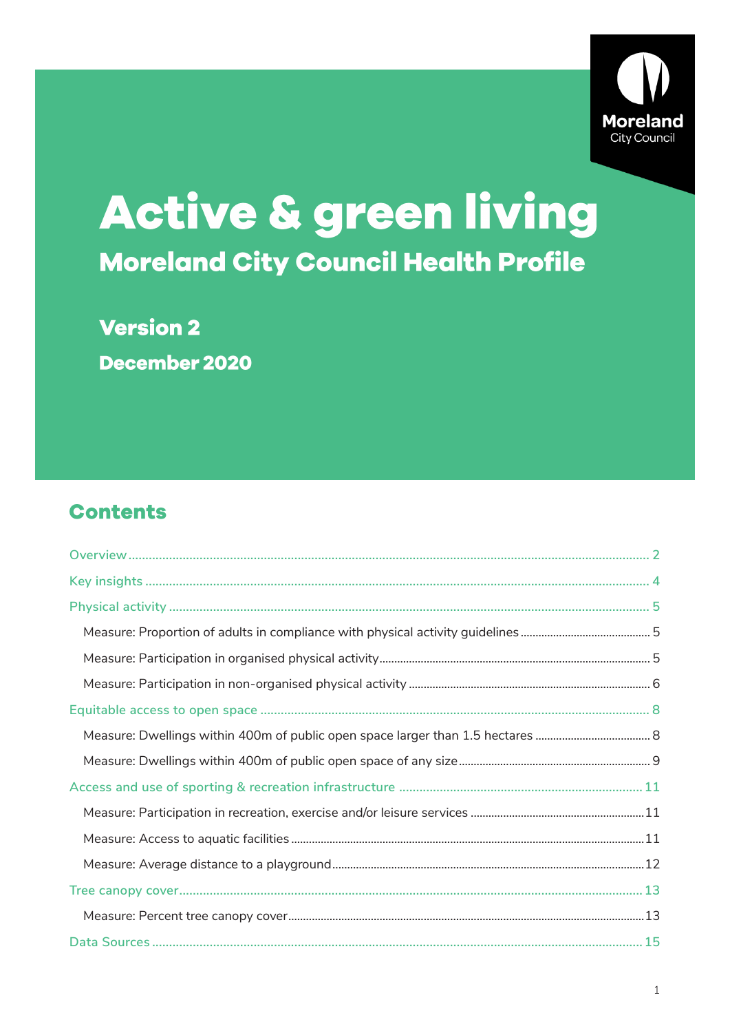

# Active & green living **Moreland City Council Health Profile**

**Version 2** December 2020

# **Contents**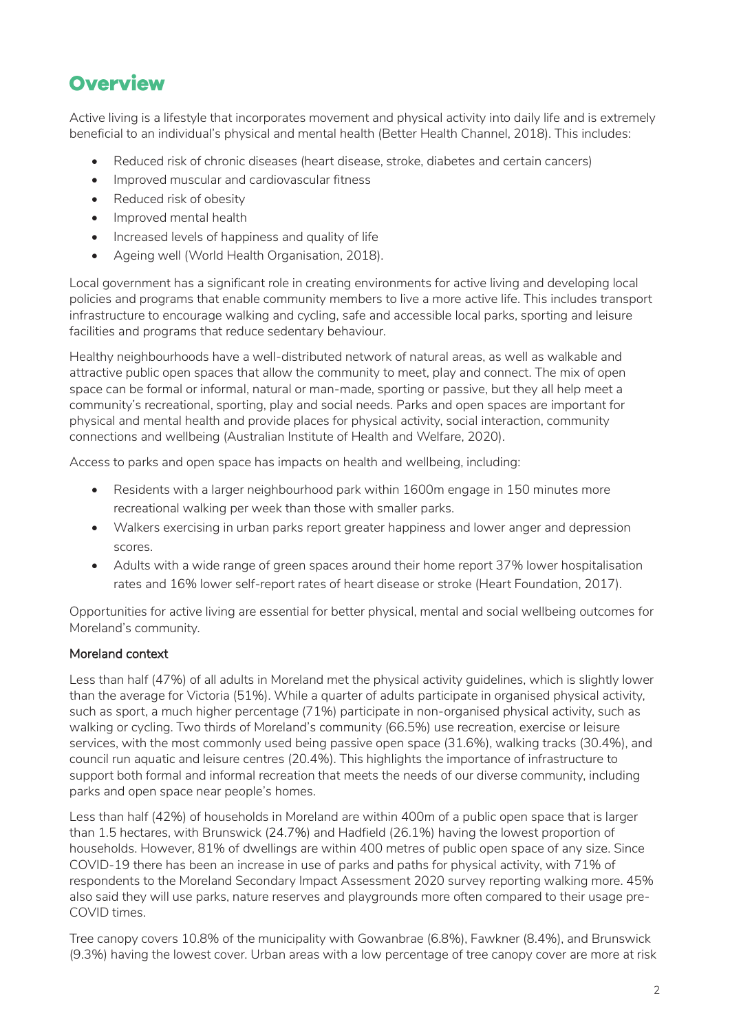# <span id="page-1-0"></span>**Overview**

Active living is a lifestyle that incorporates movement and physical activity into daily life and is extremely beneficial to an individual's physical and mental health (Better Health Channel, 2018). This includes:

- Reduced risk of chronic diseases (heart disease, stroke, diabetes and certain cancers)
- Improved muscular and cardiovascular fitness
- Reduced risk of obesity
- Improved mental health
- Increased levels of happiness and quality of life
- Ageing well (World Health Organisation, 2018).

Local government has a significant role in creating environments for active living and developing local policies and programs that enable community members to live a more active life. This includes transport infrastructure to encourage walking and cycling, safe and accessible local parks, sporting and leisure facilities and programs that reduce sedentary behaviour.

Healthy neighbourhoods have a well-distributed network of natural areas, as well as walkable and attractive public open spaces that allow the community to meet, play and connect. The mix of open space can be formal or informal, natural or man-made, sporting or passive, but they all help meet a community's recreational, sporting, play and social needs. Parks and open spaces are important for physical and mental health and provide places for physical activity, social interaction, community connections and wellbeing (Australian Institute of Health and Welfare, 2020).

Access to parks and open space has impacts on health and wellbeing, including:

- Residents with a larger neighbourhood park within 1600m engage in 150 minutes more recreational walking per week than those with smaller parks.
- Walkers exercising in urban parks report greater happiness and lower anger and depression scores.
- Adults with a wide range of green spaces around their home report 37% lower hospitalisation rates and 16% lower self-report rates of heart disease or stroke (Heart Foundation, 2017).

Opportunities for active living are essential for better physical, mental and social wellbeing outcomes for Moreland's community.

## Moreland context

Less than half (47%) of all adults in Moreland met the physical activity guidelines, which is slightly lower than the average for Victoria (51%). While a quarter of adults participate in organised physical activity, such as sport, a much higher percentage (71%) participate in non-organised physical activity, such as walking or cycling. Two thirds of Moreland's community (66.5%) use recreation, exercise or leisure services, with the most commonly used being passive open space (31.6%), walking tracks (30.4%), and council run aquatic and leisure centres (20.4%). This highlights the importance of infrastructure to support both formal and informal recreation that meets the needs of our diverse community, including parks and open space near people's homes.

Less than half (42%) of households in Moreland are within 400m of a public open space that is larger than 1.5 hectares, with Brunswick (24.7%) and Hadfield (26.1%) having the lowest proportion of households. However, 81% of dwellings are within 400 metres of public open space of any size. Since COVID-19 there has been an increase in use of parks and paths for physical activity, with 71% of respondents to the Moreland Secondary Impact Assessment 2020 survey reporting walking more. 45% also said they will use parks, nature reserves and playgrounds more often compared to their usage pre-COVID times.

Tree canopy covers 10.8% of the municipality with Gowanbrae (6.8%), Fawkner (8.4%), and Brunswick (9.3%) having the lowest cover. Urban areas with a low percentage of tree canopy cover are more at risk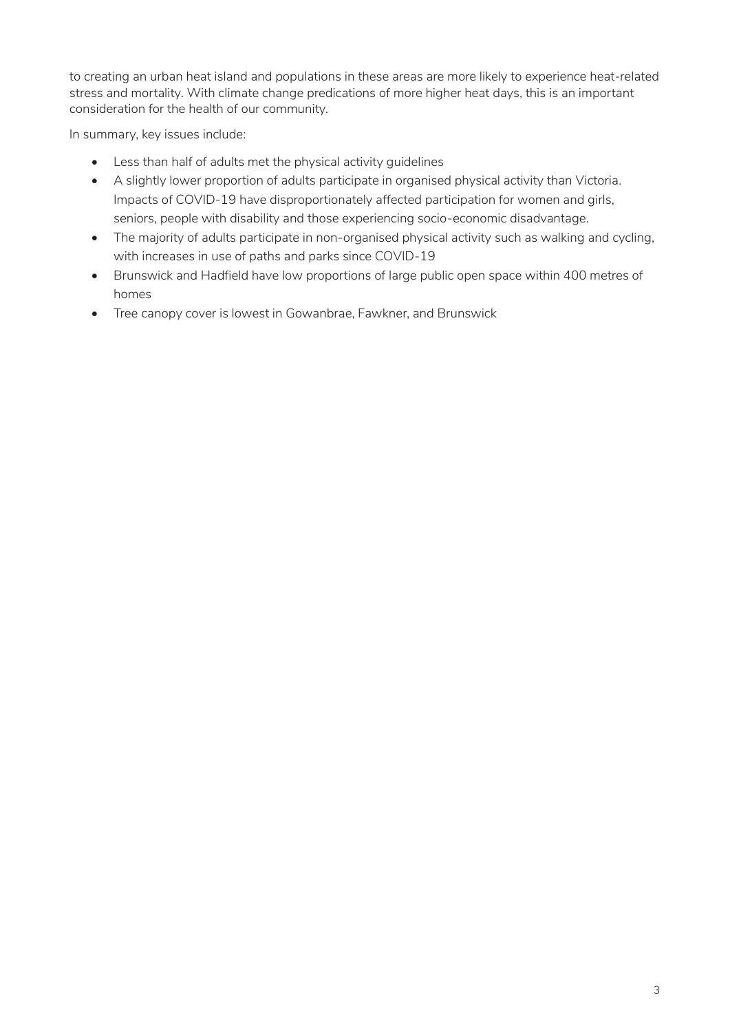to creating an urban heat island and populations in these areas are more likely to experience heat-related stress and mortality. With climate change predications of more higher heat days, this is an important consideration for the health of our community.

In summary, key issues include:

- Less than half of adults met the physical activity guidelines
- A slightly lower proportion of adults participate in organised physical activity than Victoria. Impacts of COVID-19 have disproportionately affected participation for women and girls, seniors, people with disability and those experiencing socio-economic disadvantage.
- The majority of adults participate in non-organised physical activity such as walking and cycling, with increases in use of paths and parks since COVID-19
- Brunswick and Hadfield have low proportions of large public open space within 400 metres of homes
- Tree canopy cover is lowest in Gowanbrae, Fawkner, and Brunswick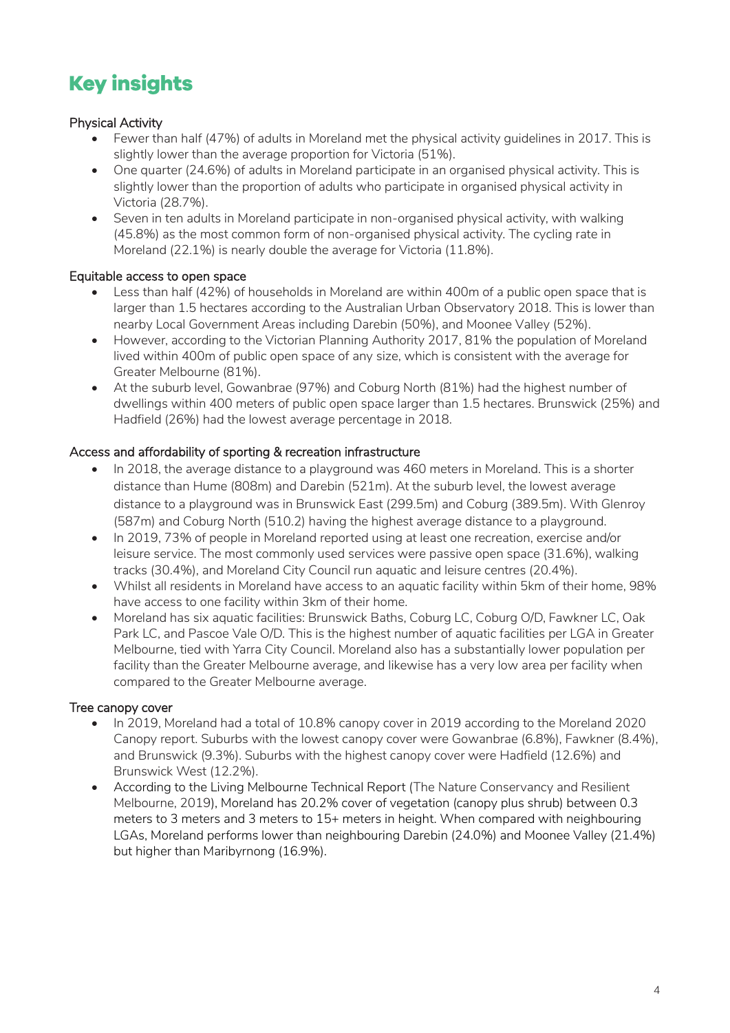# <span id="page-3-0"></span>**Key insights**

# Physical Activity

- Fewer than half (47%) of adults in Moreland met the physical activity guidelines in 2017. This is slightly lower than the average proportion for Victoria (51%).
- One quarter (24.6%) of adults in Moreland participate in an organised physical activity. This is slightly lower than the proportion of adults who participate in organised physical activity in Victoria (28.7%).
- Seven in ten adults in Moreland participate in non-organised physical activity, with walking (45.8%) as the most common form of non-organised physical activity. The cycling rate in Moreland (22.1%) is nearly double the average for Victoria (11.8%).

# Equitable access to open space

- Less than half (42%) of households in Moreland are within 400m of a public open space that is larger than 1.5 hectares according to the Australian Urban Observatory 2018. This is lower than nearby Local Government Areas including Darebin (50%), and Moonee Valley (52%).
- However, according to the Victorian Planning Authority 2017, 81% the population of Moreland lived within 400m of public open space of any size, which is consistent with the average for Greater Melbourne (81%).
- At the suburb level, Gowanbrae (97%) and Coburg North (81%) had the highest number of dwellings within 400 meters of public open space larger than 1.5 hectares. Brunswick (25%) and Hadfield (26%) had the lowest average percentage in 2018.

# Access and affordability of sporting & recreation infrastructure

- In 2018, the average distance to a playground was 460 meters in Moreland. This is a shorter distance than Hume (808m) and Darebin (521m). At the suburb level, the lowest average distance to a playground was in Brunswick East (299.5m) and Coburg (389.5m). With Glenroy (587m) and Coburg North (510.2) having the highest average distance to a playground.
- In 2019, 73% of people in Moreland reported using at least one recreation, exercise and/or leisure service. The most commonly used services were passive open space (31.6%), walking tracks (30.4%), and Moreland City Council run aquatic and leisure centres (20.4%).
- Whilst all residents in Moreland have access to an aquatic facility within 5km of their home, 98% have access to one facility within 3km of their home.
- Moreland has six aquatic facilities: Brunswick Baths, Coburg LC, Coburg O/D, Fawkner LC, Oak Park LC, and Pascoe Vale O/D. This is the highest number of aquatic facilities per LGA in Greater Melbourne, tied with Yarra City Council. Moreland also has a substantially lower population per facility than the Greater Melbourne average, and likewise has a very low area per facility when compared to the Greater Melbourne average.

# Tree canopy cover

- In 2019, Moreland had a total of 10.8% canopy cover in 2019 according to the Moreland 2020 Canopy report. Suburbs with the lowest canopy cover were Gowanbrae (6.8%), Fawkner (8.4%), and Brunswick (9.3%). Suburbs with the highest canopy cover were Hadfield (12.6%) and Brunswick West (12.2%).
- According to the Living Melbourne Technical Report (The Nature Conservancy and Resilient Melbourne, 2019), Moreland has 20.2% cover of vegetation (canopy plus shrub) between 0.3 meters to 3 meters and 3 meters to 15+ meters in height. When compared with neighbouring LGAs, Moreland performs lower than neighbouring Darebin (24.0%) and Moonee Valley (21.4%) but higher than Maribyrnong (16.9%).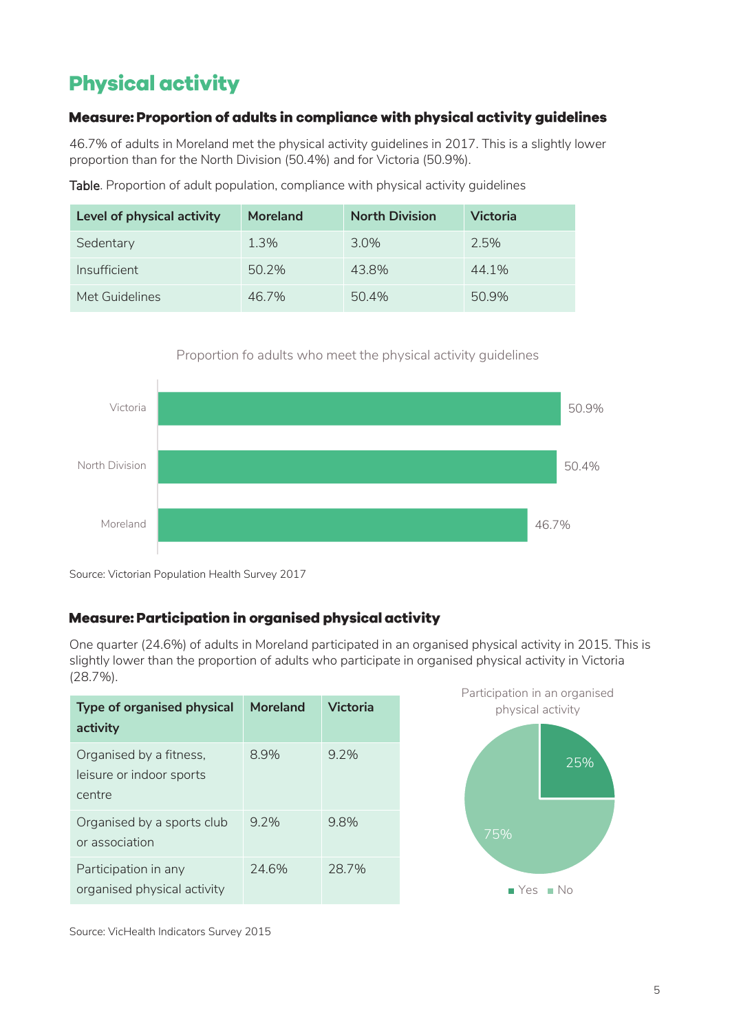# <span id="page-4-0"></span>**Physical activity**

# <span id="page-4-1"></span>Measure: Proportion of adults in compliance with physical activity guidelines

46.7% of adults in Moreland met the physical activity guidelines in 2017. This is a slightly lower proportion than for the North Division (50.4%) and for Victoria (50.9%).

Table. Proportion of adult population, compliance with physical activity guidelines

| Level of physical activity | <b>Moreland</b> | <b>North Division</b> | <b>Victoria</b> |
|----------------------------|-----------------|-----------------------|-----------------|
| Sedentary                  | 1.3%            | $3.0\%$               | 2.5%            |
| Insufficient               | 50.2%           | 43.8%                 | 44.1%           |
| Met Guidelines             | 46.7%           | 50.4%                 | 50.9%           |

## Proportion fo adults who meet the physical activity guidelines



Source: Victorian Population Health Survey 2017

# <span id="page-4-2"></span>Measure: Participation in organised physical activity

One quarter (24.6%) of adults in Moreland participated in an organised physical activity in 2015. This is slightly lower than the proportion of adults who participate in organised physical activity in Victoria (28.7%).

| <b>Type of organised physical</b><br>activity                 | Moreland | Victoria |
|---------------------------------------------------------------|----------|----------|
| Organised by a fitness,<br>leisure or indoor sports<br>centre | 8.9%     | $9.2\%$  |
| Organised by a sports club<br>or association                  | 97%      | 9.8%     |
| Participation in any<br>organised physical activity           | 24.6%    | 28.7%    |



Source: VicHealth Indicators Survey 2015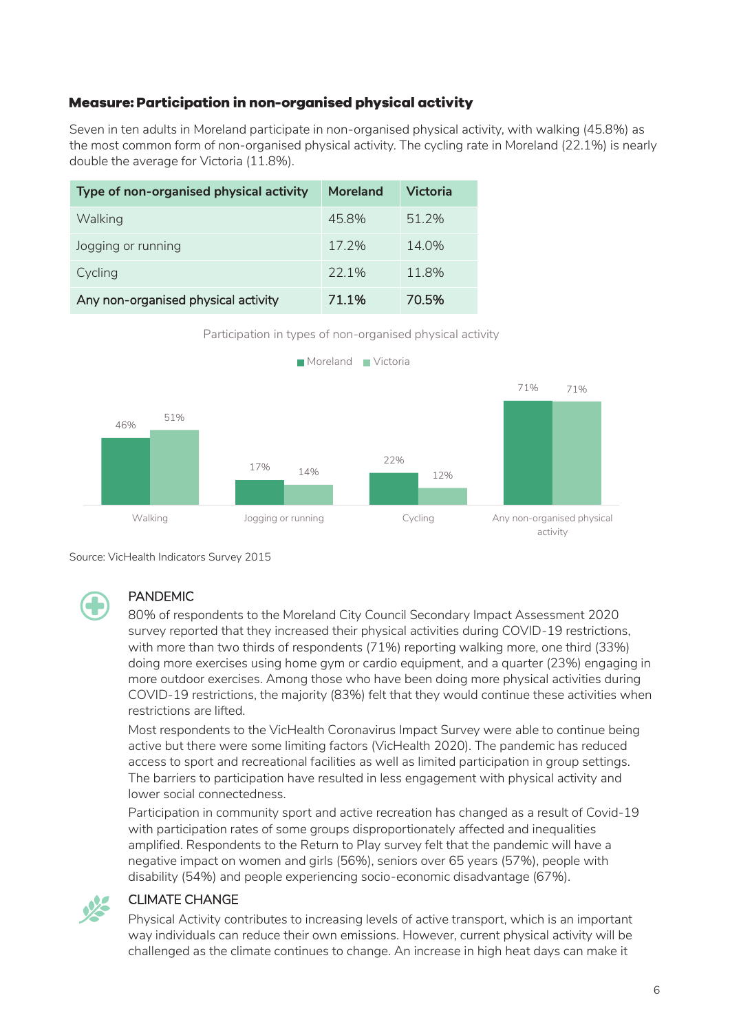# <span id="page-5-0"></span>Measure: Participation in non-organised physical activity

Seven in ten adults in Moreland participate in non-organised physical activity, with walking (45.8%) as the most common form of non-organised physical activity. The cycling rate in Moreland (22.1%) is nearly double the average for Victoria (11.8%).

| Type of non-organised physical activity | Moreland | Victoria |
|-----------------------------------------|----------|----------|
| Walking                                 | 45.8%    | 51.2%    |
| Jogging or running                      | 17.2%    | $14.0\%$ |
| Cycling                                 | 22.1%    | 11.8%    |
| Any non-organised physical activity     | 71.1%    | 70.5%    |





Source: VicHealth Indicators Survey 2015



# PANDEMIC

80% of respondents to the Moreland City Council Secondary Impact Assessment 2020 survey reported that they increased their physical activities during COVID-19 restrictions, with more than two thirds of respondents (71%) reporting walking more, one third (33%) doing more exercises using home gym or cardio equipment, and a quarter (23%) engaging in more outdoor exercises. Among those who have been doing more physical activities during COVID-19 restrictions, the majority (83%) felt that they would continue these activities when restrictions are lifted.

Most respondents to the VicHealth Coronavirus Impact Survey were able to continue being active but there were some limiting factors (VicHealth 2020). The pandemic has reduced access to sport and recreational facilities as well as limited participation in group settings. The barriers to participation have resulted in less engagement with physical activity and lower social connectedness.

Participation in community sport and active recreation has changed as a result of Covid-19 with participation rates of some groups disproportionately affected and inequalities amplified. Respondents to the Return to Play survey felt that the pandemic will have a negative impact on women and girls (56%), seniors over 65 years (57%), people with disability (54%) and people experiencing socio-economic disadvantage (67%).



#### CLIMATE CHANGE

Physical Activity contributes to increasing levels of active transport, which is an important way individuals can reduce their own emissions. However, current physical activity will be challenged as the climate continues to change. An increase in high heat days can make it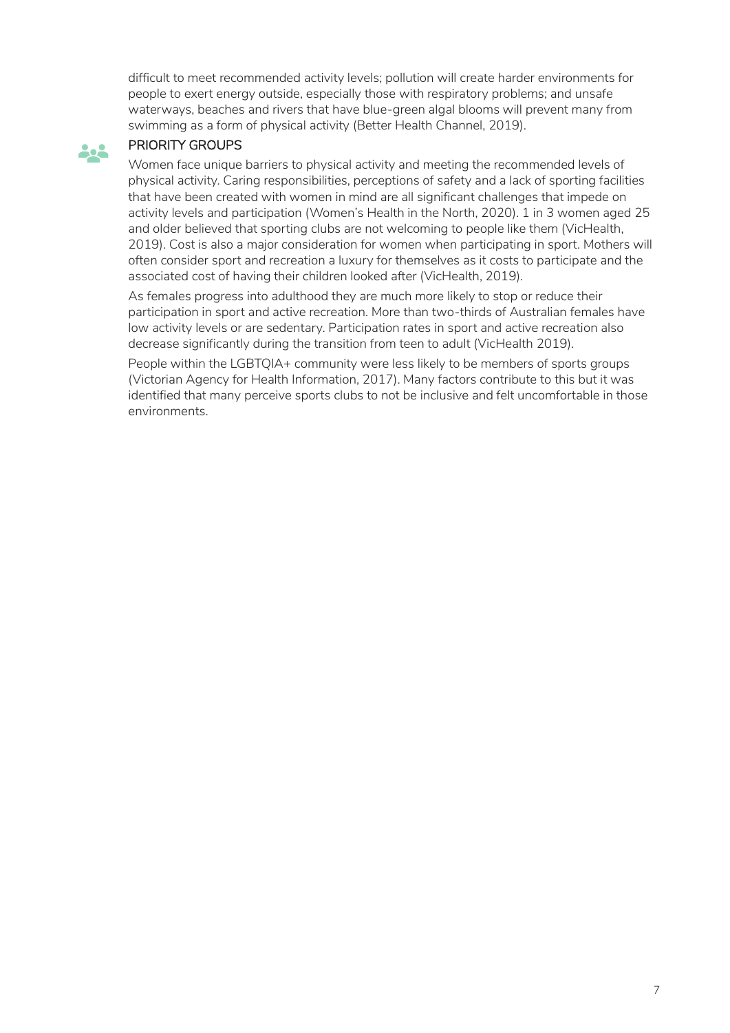difficult to meet recommended activity levels; pollution will create harder environments for people to exert energy outside, especially those with respiratory problems; and unsafe waterways, beaches and rivers that have blue-green algal blooms will prevent many from swimming as a form of physical activity (Better Health Channel, 2019).

# PRIORITY GROUPS

**Bo** 

Women face unique barriers to physical activity and meeting the recommended levels of physical activity. Caring responsibilities, perceptions of safety and a lack of sporting facilities that have been created with women in mind are all significant challenges that impede on activity levels and participation (Women's Health in the North, 2020). 1 in 3 women aged 25 and older believed that sporting clubs are not welcoming to people like them (VicHealth, 2019). Cost is also a major consideration for women when participating in sport. Mothers will often consider sport and recreation a luxury for themselves as it costs to participate and the associated cost of having their children looked after (VicHealth, 2019).

As females progress into adulthood they are much more likely to stop or reduce their participation in sport and active recreation. More than two-thirds of Australian females have low activity levels or are sedentary. Participation rates in sport and active recreation also decrease significantly during the transition from teen to adult (VicHealth 2019).

People within the LGBTQIA+ community were less likely to be members of sports groups (Victorian Agency for Health Information, 2017). Many factors contribute to this but it was identified that many perceive sports clubs to not be inclusive and felt uncomfortable in those environments.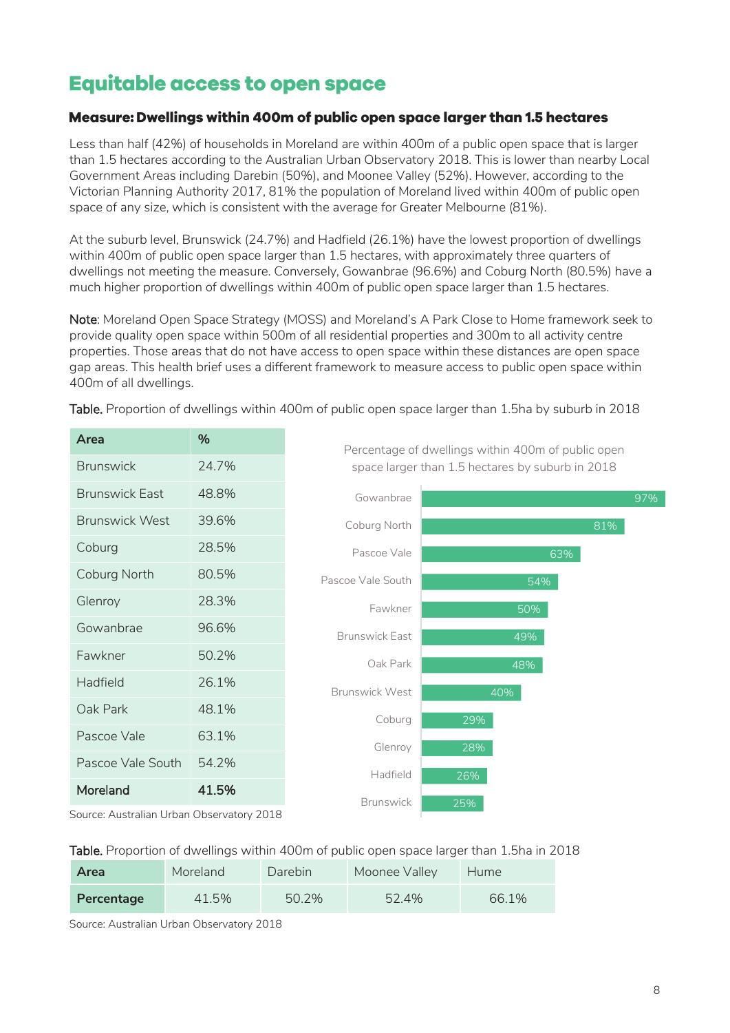# <span id="page-7-0"></span>**Equitable access to open space**

# <span id="page-7-1"></span>Measure: Dwellings within 400m of public open space larger than 1.5 hectares

Less than half (42%) of households in Moreland are within 400m of a public open space that is larger than 1.5 hectares according to the Australian Urban Observatory 2018. This is lower than nearby Local Government Areas including Darebin (50%), and Moonee Valley (52%). However, according to the Victorian Planning Authority 2017, 81% the population of Moreland lived within 400m of public open space of any size, which is consistent with the average for Greater Melbourne (81%).

At the suburb level, Brunswick (24.7%) and Hadfield (26.1%) have the lowest proportion of dwellings within 400m of public open space larger than 1.5 hectares, with approximately three quarters of dwellings not meeting the measure. Conversely, Gowanbrae (96.6%) and Coburg North (80.5%) have a much higher proportion of dwellings within 400m of public open space larger than 1.5 hectares.

Note: Moreland Open Space Strategy (MOSS) and Moreland's A Park Close to Home framework seek to provide quality open space within 500m of all residential properties and 300m to all activity centre properties. Those areas that do not have access to open space within these distances are open space gap areas. This health brief uses a different framework to measure access to public open space within 400m of all dwellings.

| Area                  | %     |
|-----------------------|-------|
| <b>Brunswick</b>      | 24 7% |
| <b>Brunswick East</b> | 48.8% |
| <b>Brunswick West</b> | 39.6% |
| Coburg                | 28.5% |
| Coburg North          | 80.5% |
| Glenroy               | 28.3% |
| Gowanbrae             | 96.6% |
| Fawkner               | 50.2% |
| Hadfield              | 26.1% |
| Oak Park              | 48.1% |
| Pascoe Vale           | 63.1% |
| Pascoe Vale South     | 54.2% |
| Moreland              | 41.5% |
|                       |       |

Table. Proportion of dwellings within 400m of public open space larger than 1.5ha by suburb in 2018

25% 26% 28% 29% 40% 48% 49% 50% 54% 63% 81% 97% **Brunswick** Hadfield Glenroy Coburg Brunswick West Oak Park Brunswick East Fawkner Pascoe Vale South Pascoe Vale Coburg North Gowanbrae

Percentage of dwellings within 400m of public open space larger than 1.5 hectares by suburb in 2018

Source: Australian Urban Observatory 2018

## Table. Proportion of dwellings within 400m of public open space larger than 1.5ha in 2018

| Area       | Moreland | Darebin | Moonee Valley | <b>Hume</b> |
|------------|----------|---------|---------------|-------------|
| Percentage | 41.5%    | 50.2%   | 52.4%         | 66.1%       |

Source: Australian Urban Observatory 2018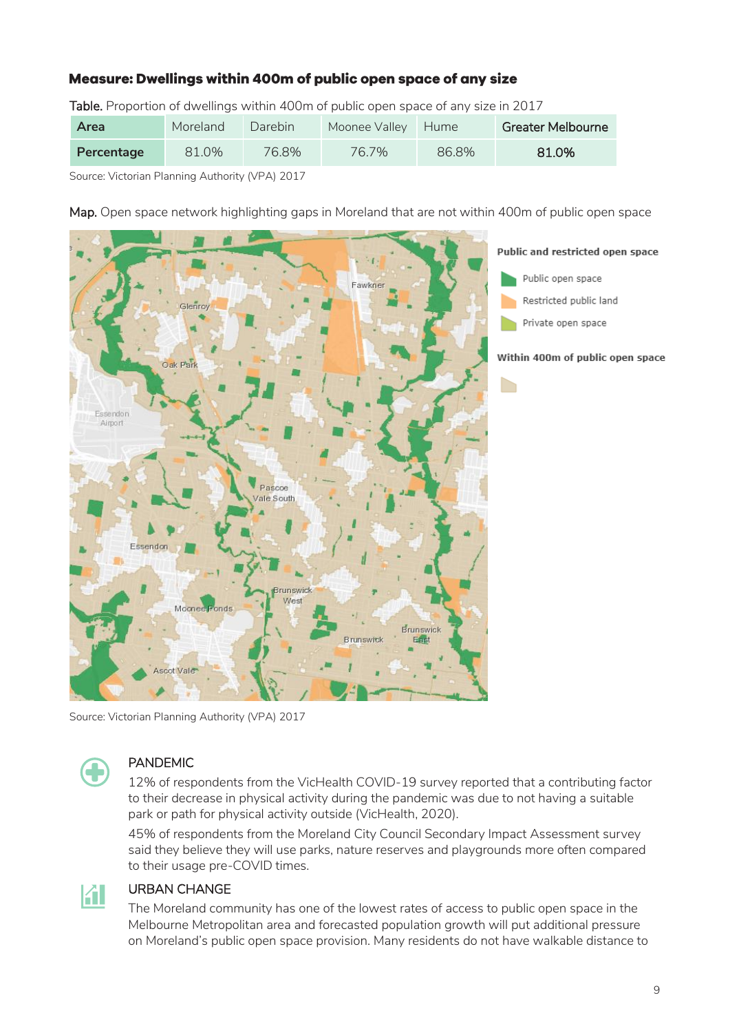# <span id="page-8-0"></span>Measure: Dwellings within 400m of public open space of any size

Table. Proportion of dwellings within 400m of public open space of any size in 2017

| Area       | Moreland | Darebin <sup>1</sup> | Moonee Valley | Hume  | Greater Melbourne |
|------------|----------|----------------------|---------------|-------|-------------------|
| Percentage | 81.0%    | 76.8%                | 76.7%         | 86.8% | 81.0%             |

Source: Victorian Planning Authority (VPA) 2017

Map. Open space network highlighting gaps in Moreland that are not within 400m of public open space



Source: Victorian Planning Authority (VPA) 2017



## PANDEMIC

12% of respondents from the VicHealth COVID-19 survey reported that a contributing factor to their decrease in physical activity during the pandemic was due to not having a suitable park or path for physical activity outside (VicHealth, 2020).

45% of respondents from the Moreland City Council Secondary Impact Assessment survey said they believe they will use parks, nature reserves and playgrounds more often compared to their usage pre-COVID times.



# URBAN CHANGE

The Moreland community has one of the lowest rates of access to public open space in the Melbourne Metropolitan area and forecasted population growth will put additional pressure on Moreland's public open space provision. Many residents do not have walkable distance to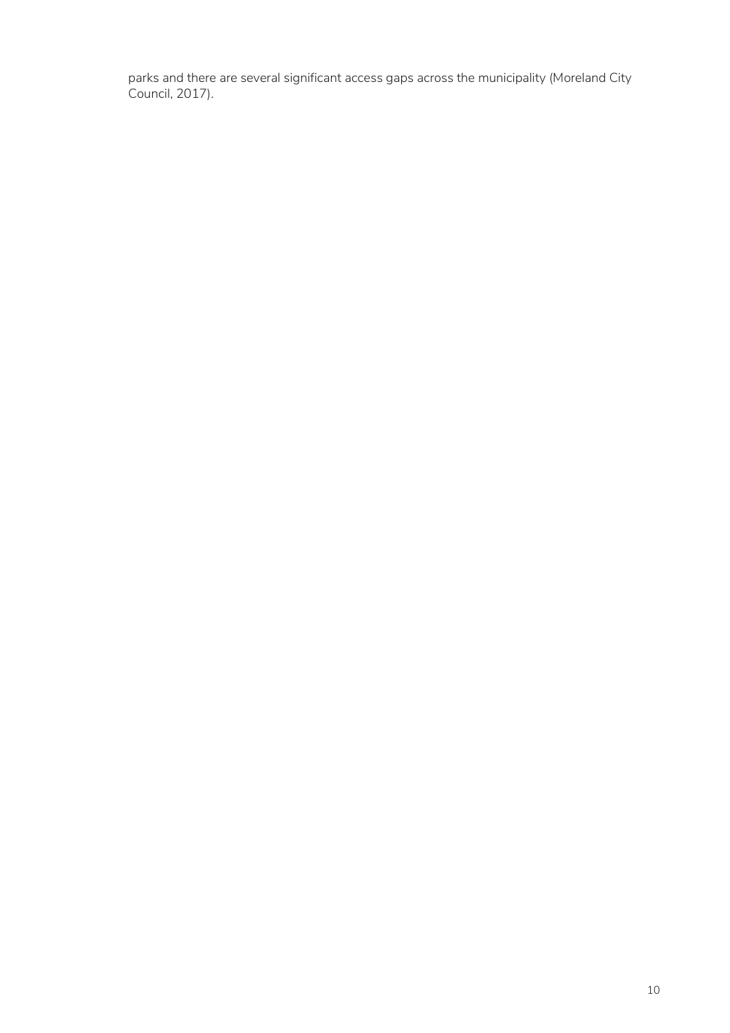parks and there are several significant access gaps across the municipality (Moreland City Council, 2017).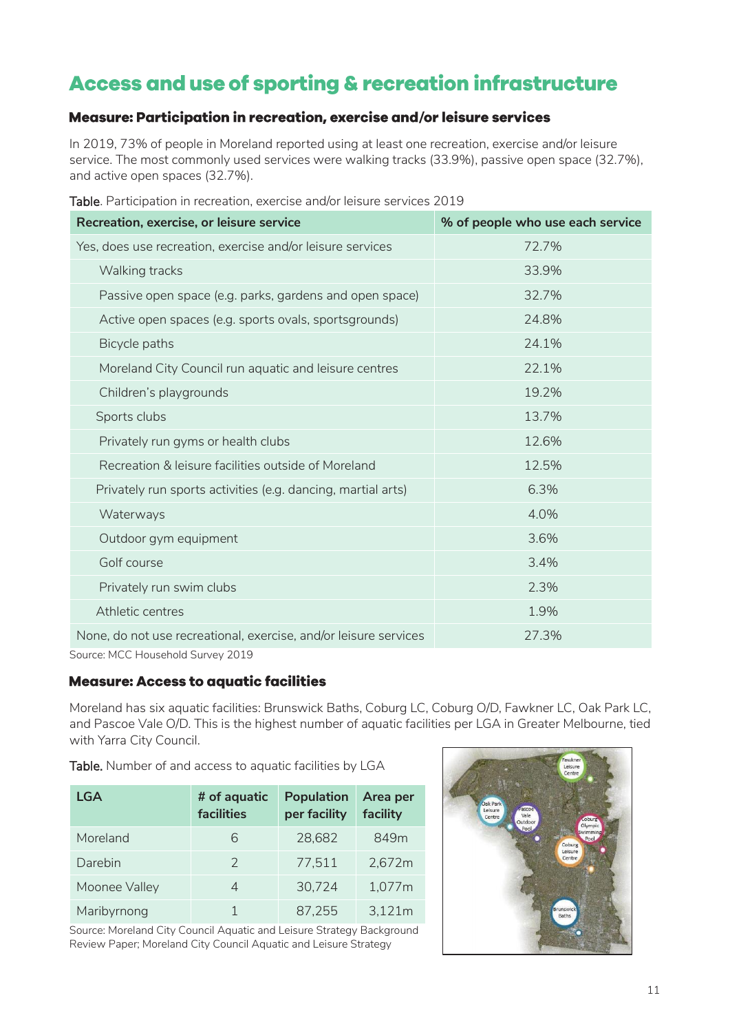# <span id="page-10-0"></span>Access and use of sporting & recreation infrastructure

# <span id="page-10-1"></span>Measure: Participation in recreation, exercise and/or leisure services

In 2019, 73% of people in Moreland reported using at least one recreation, exercise and/or leisure service. The most commonly used services were walking tracks (33.9%), passive open space (32.7%), and active open spaces (32.7%).

| Recreation, exercise, or leisure service                                                                 | % of people who use each service |
|----------------------------------------------------------------------------------------------------------|----------------------------------|
| Yes, does use recreation, exercise and/or leisure services                                               | 72.7%                            |
| Walking tracks                                                                                           | 33.9%                            |
| Passive open space (e.g. parks, gardens and open space)                                                  | 32.7%                            |
| Active open spaces (e.g. sports ovals, sportsgrounds)                                                    | 24.8%                            |
| Bicycle paths                                                                                            | 24.1%                            |
| Moreland City Council run aquatic and leisure centres                                                    | 22.1%                            |
| Children's playgrounds                                                                                   | 19.2%                            |
| Sports clubs                                                                                             | 13.7%                            |
| Privately run gyms or health clubs                                                                       | 12.6%                            |
| Recreation & leisure facilities outside of Moreland                                                      | 12.5%                            |
| Privately run sports activities (e.g. dancing, martial arts)                                             | 6.3%                             |
| Waterways                                                                                                | 4.0%                             |
| Outdoor gym equipment                                                                                    | 3.6%                             |
| Golf course                                                                                              | 3.4%                             |
| Privately run swim clubs                                                                                 | 2.3%                             |
| Athletic centres                                                                                         | 1.9%                             |
| None, do not use recreational, exercise, and/or leisure services<br>$\bigcap_{\alpha}$<br>$\blacksquare$ | 27.3%                            |

Table. Participation in recreation, exercise and/or leisure services 2019

Source: MCC Household Survey 2019

# <span id="page-10-2"></span>**Measure: Access to aquatic facilities**

Moreland has six aquatic facilities: Brunswick Baths, Coburg LC, Coburg O/D, Fawkner LC, Oak Park LC, and Pascoe Vale O/D. This is the highest number of aquatic facilities per LGA in Greater Melbourne, tied with Yarra City Council.

Table. Number of and access to aquatic facilities by LGA

| LGA           | # of aquatic<br>facilities | <b>Population</b><br>per facility | Area per<br>facility |
|---------------|----------------------------|-----------------------------------|----------------------|
| Moreland      | 6                          | 28,682                            | 849m                 |
| Darebin       | $\mathcal{L}$              | 77.511                            | 2.672m               |
| Moonee Valley | Δ                          | 30.724                            | 1.077m               |
| Maribyrnong   |                            | 87.255                            | 3,121m               |

Source: Moreland City Council Aquatic and Leisure Strategy Background Review Paper; Moreland City Council Aquatic and Leisure Strategy

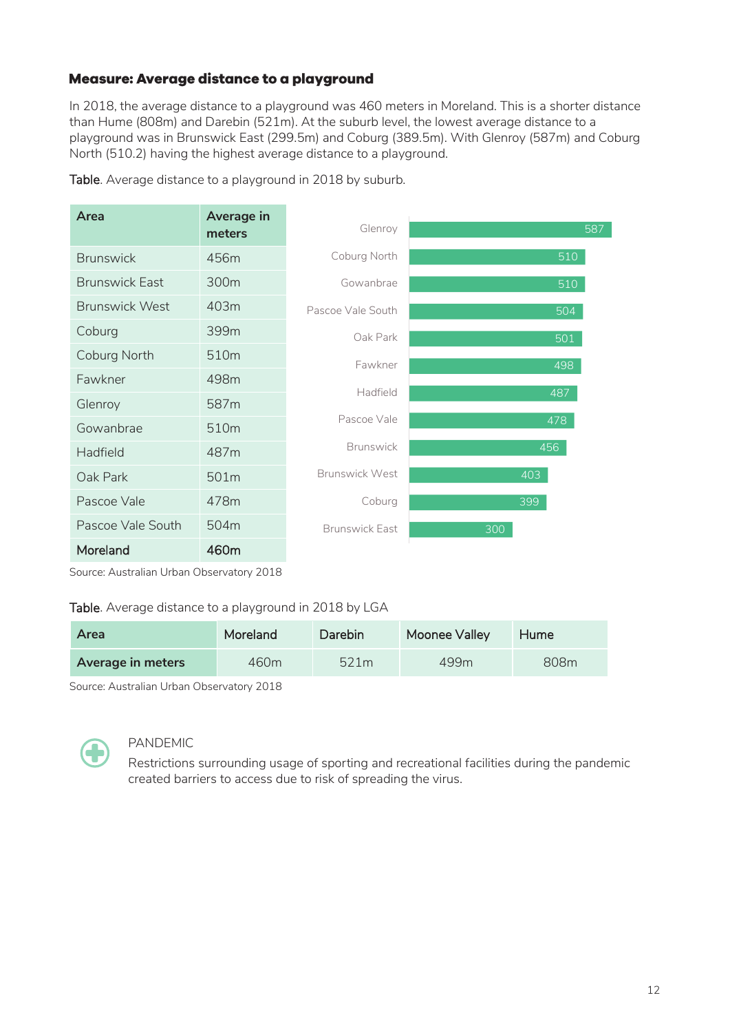# <span id="page-11-0"></span>Measure: Average distance to a playground

In 2018, the average distance to a playground was 460 meters in Moreland. This is a shorter distance than Hume (808m) and Darebin (521m). At the suburb level, the lowest average distance to a playground was in Brunswick East (299.5m) and Coburg (389.5m). With Glenroy (587m) and Coburg North (510.2) having the highest average distance to a playground.

|  | Table. Average distance to a playground in 2018 by suburb. |
|--|------------------------------------------------------------|
|--|------------------------------------------------------------|

| Area                  | Average in<br>meters | Glenroy               | 587 |
|-----------------------|----------------------|-----------------------|-----|
| <b>Brunswick</b>      | 456m                 | Coburg North          | 510 |
| <b>Brunswick East</b> | 300 <sub>m</sub>     | Gowanbrae             | 510 |
| <b>Brunswick West</b> | 403m                 | Pascoe Vale South     | 504 |
| Coburg                | 399m                 | Oak Park              | 501 |
| Coburg North          | 510 <sub>m</sub>     | Fawkner               | 498 |
| Fawkner               | 498m                 | Hadfield              |     |
| Glenroy               | 587m                 |                       | 487 |
| Gowanbrae             | 510 <sub>m</sub>     | Pascoe Vale           | 478 |
| Hadfield              | 487m                 | <b>Brunswick</b>      | 456 |
| Oak Park              | 501m                 | <b>Brunswick West</b> | 403 |
| Pascoe Vale           | 478m                 | Coburg                | 399 |
| Pascoe Vale South     | 504m                 | <b>Brunswick Fast</b> | 300 |
| Moreland              | 460m                 |                       |     |

Source: Australian Urban Observatory 2018

#### Table. Average distance to a playground in 2018 by LGA

| Area              | Moreland | Darebin | Moonee Valley | Hume |
|-------------------|----------|---------|---------------|------|
| Average in meters | 460m     | 521m    | 499m          | 808m |

Source: Australian Urban Observatory 2018



#### PANDEMIC

Restrictions surrounding usage of sporting and recreational facilities during the pandemic created barriers to access due to risk of spreading the virus.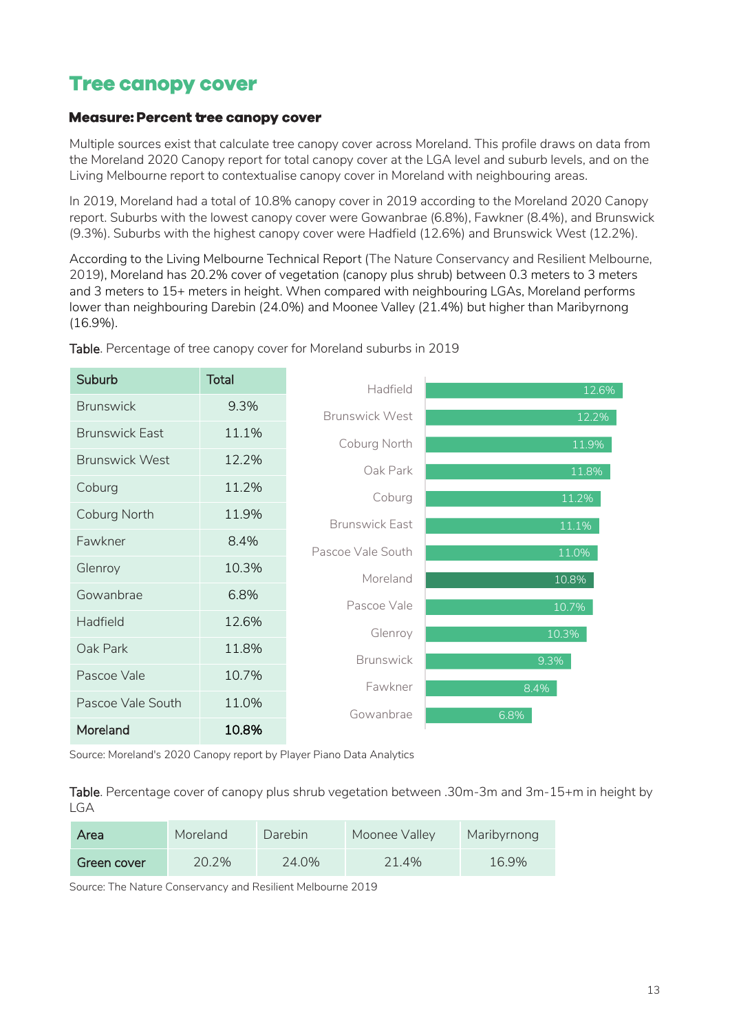# <span id="page-12-0"></span>**Tree canopy cover**

### <span id="page-12-1"></span>**Measure: Percent tree canopy cover**

Multiple sources exist that calculate tree canopy cover across Moreland. This profile draws on data from the Moreland 2020 Canopy report for total canopy cover at the LGA level and suburb levels, and on the Living Melbourne report to contextualise canopy cover in Moreland with neighbouring areas.

In 2019, Moreland had a total of 10.8% canopy cover in 2019 according to the Moreland 2020 Canopy report. Suburbs with the lowest canopy cover were Gowanbrae (6.8%), Fawkner (8.4%), and Brunswick (9.3%). Suburbs with the highest canopy cover were Hadfield (12.6%) and Brunswick West (12.2%).

According to the Living Melbourne Technical Report (The Nature Conservancy and Resilient Melbourne, 2019), Moreland has 20.2% cover of vegetation (canopy plus shrub) between 0.3 meters to 3 meters and 3 meters to 15+ meters in height. When compared with neighbouring LGAs, Moreland performs lower than neighbouring Darebin (24.0%) and Moonee Valley (21.4%) but higher than Maribyrnong (16.9%).



Table. Percentage of tree canopy cover for Moreland suburbs in 2019

Source: Moreland's 2020 Canopy report by Player Piano Data Analytics

Table. Percentage cover of canopy plus shrub vegetation between .30m-3m and 3m-15+m in height by LGA

| Area        | Moreland | Darebin | Moonee Valley | Maribyrnong |
|-------------|----------|---------|---------------|-------------|
| Green cover | 20.2%    | 24.0%   | 21.4%         | 16.9%       |

Source: The Nature Conservancy and Resilient Melbourne 2019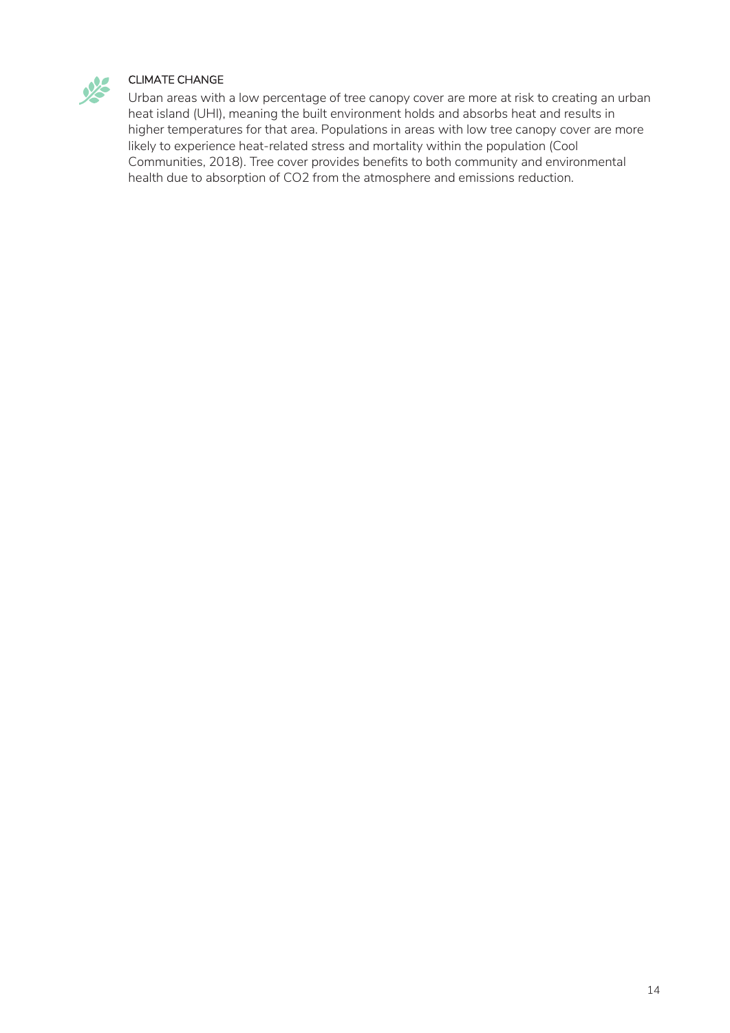

#### CLIMATE CHANGE

Urban areas with a low percentage of tree canopy cover are more at risk to creating an urban heat island (UHI), meaning the built environment holds and absorbs heat and results in higher temperatures for that area. Populations in areas with low tree canopy cover are more likely to experience heat-related stress and mortality within the population (Cool Communities, 2018). Tree cover provides benefits to both community and environmental health due to absorption of CO2 from the atmosphere and emissions reduction.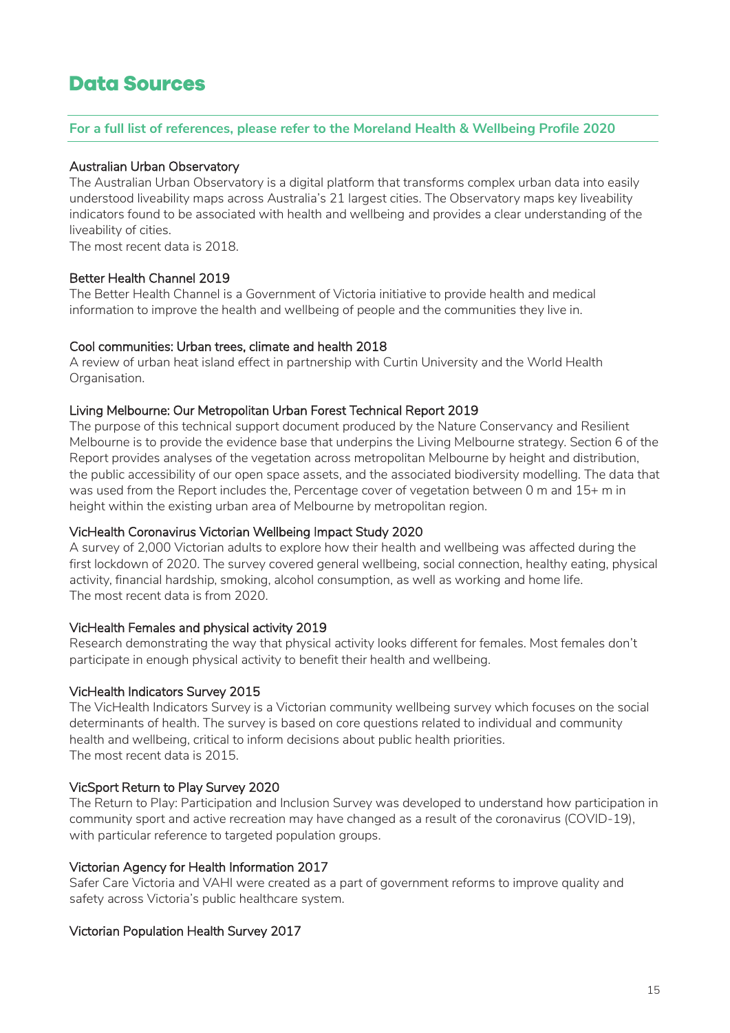# <span id="page-14-0"></span>**Data Sources**

#### **For a full list of references, please refer to the Moreland Health & Wellbeing Profile 2020**

#### Australian Urban Observatory

The Australian Urban Observatory is a digital platform that transforms complex urban data into easily understood liveability maps across Australia's 21 largest cities. The Observatory maps key liveability indicators found to be associated with health and wellbeing and provides a clear understanding of the liveability of cities.

The most recent data is 2018.

#### Better Health Channel 2019

The Better Health Channel is a Government of Victoria initiative to provide health and medical information to improve the health and wellbeing of people and the communities they live in.

#### Cool communities: Urban trees, climate and health 2018

A review of urban heat island effect in partnership with Curtin University and the World Health Organisation.

#### Living Melbourne: Our Metropolitan Urban Forest Technical Report 2019

The purpose of this technical support document produced by the Nature Conservancy and Resilient Melbourne is to provide the evidence base that underpins the Living Melbourne strategy. Section 6 of the Report provides analyses of the vegetation across metropolitan Melbourne by height and distribution, the public accessibility of our open space assets, and the associated biodiversity modelling. The data that was used from the Report includes the, Percentage cover of vegetation between 0 m and 15+ m in height within the existing urban area of Melbourne by metropolitan region.

#### VicHealth Coronavirus Victorian Wellbeing Impact Study 2020

A survey of 2,000 Victorian adults to explore how their health and wellbeing was affected during the first lockdown of 2020. The survey covered general wellbeing, social connection, healthy eating, physical activity, financial hardship, smoking, alcohol consumption, as well as working and home life. The most recent data is from 2020.

## VicHealth Females and physical activity 2019

Research demonstrating the way that physical activity looks different for females. Most females don't participate in enough physical activity to benefit their health and wellbeing.

## VicHealth Indicators Survey 2015

The VicHealth Indicators Survey is a Victorian community wellbeing survey which focuses on the social determinants of health. The survey is based on core questions related to individual and community health and wellbeing, critical to inform decisions about public health priorities. The most recent data is 2015.

## VicSport Return to Play Survey 2020

The Return to Play: Participation and Inclusion Survey was developed to understand how participation in community sport and active recreation may have changed as a result of the coronavirus (COVID-19), with particular reference to targeted population groups.

#### Victorian Agency for Health Information 2017

Safer Care Victoria and VAHI were created as a part of government reforms to improve quality and safety across Victoria's public healthcare system.

#### Victorian Population Health Survey 2017